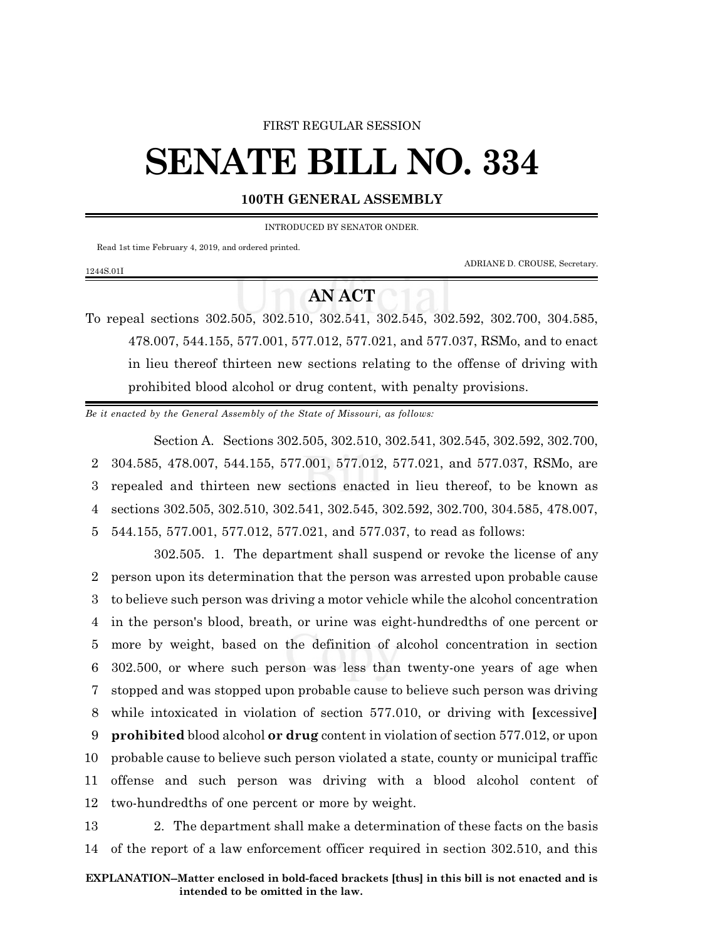#### FIRST REGULAR SESSION

# **SENATE BILL NO. 334**

### **100TH GENERAL ASSEMBLY**

INTRODUCED BY SENATOR ONDER.

Read 1st time February 4, 2019, and ordered printed.

1244S.01I

ADRIANE D. CROUSE, Secretary.

## **AN ACT**

To repeal sections 302.505, 302.510, 302.541, 302.545, 302.592, 302.700, 304.585, 478.007, 544.155, 577.001, 577.012, 577.021, and 577.037, RSMo, and to enact in lieu thereof thirteen new sections relating to the offense of driving with prohibited blood alcohol or drug content, with penalty provisions.

*Be it enacted by the General Assembly of the State of Missouri, as follows:*

Section A. Sections 302.505, 302.510, 302.541, 302.545, 302.592, 302.700, 304.585, 478.007, 544.155, 577.001, 577.012, 577.021, and 577.037, RSMo, are repealed and thirteen new sections enacted in lieu thereof, to be known as sections 302.505, 302.510, 302.541, 302.545, 302.592, 302.700, 304.585, 478.007, 544.155, 577.001, 577.012, 577.021, and 577.037, to read as follows:

302.505. 1. The department shall suspend or revoke the license of any person upon its determination that the person was arrested upon probable cause to believe such person was driving a motor vehicle while the alcohol concentration in the person's blood, breath, or urine was eight-hundredths of one percent or more by weight, based on the definition of alcohol concentration in section 302.500, or where such person was less than twenty-one years of age when stopped and was stopped upon probable cause to believe such person was driving while intoxicated in violation of section 577.010, or driving with **[**excessive**] prohibited** blood alcohol **or drug** content in violation of section 577.012, or upon probable cause to believe such person violated a state, county or municipal traffic offense and such person was driving with a blood alcohol content of two-hundredths of one percent or more by weight.

13 2. The department shall make a determination of these facts on the basis 14 of the report of a law enforcement officer required in section 302.510, and this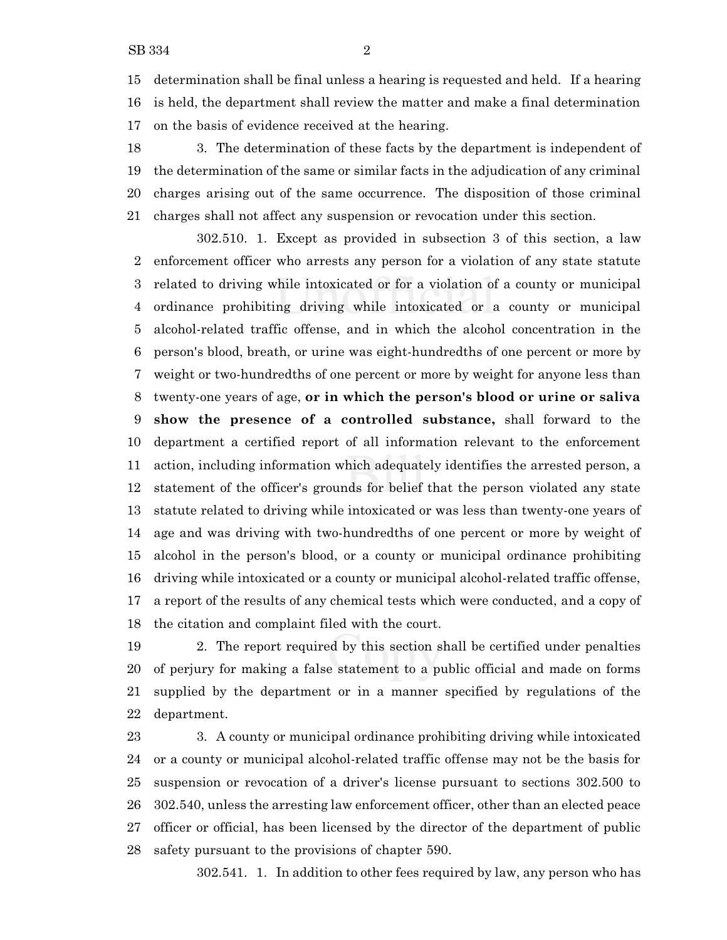determination shall be final unless a hearing is requested and held. If a hearing is held, the department shall review the matter and make a final determination on the basis of evidence received at the hearing.

 3. The determination of these facts by the department is independent of the determination of the same or similar facts in the adjudication of any criminal charges arising out of the same occurrence. The disposition of those criminal charges shall not affect any suspension or revocation under this section.

302.510. 1. Except as provided in subsection 3 of this section, a law enforcement officer who arrests any person for a violation of any state statute related to driving while intoxicated or for a violation of a county or municipal ordinance prohibiting driving while intoxicated or a county or municipal alcohol-related traffic offense, and in which the alcohol concentration in the person's blood, breath, or urine was eight-hundredths of one percent or more by weight or two-hundredths of one percent or more by weight for anyone less than twenty-one years of age, **or in which the person's blood or urine or saliva show the presence of a controlled substance,** shall forward to the department a certified report of all information relevant to the enforcement action, including information which adequately identifies the arrested person, a statement of the officer's grounds for belief that the person violated any state statute related to driving while intoxicated or was less than twenty-one years of age and was driving with two-hundredths of one percent or more by weight of alcohol in the person's blood, or a county or municipal ordinance prohibiting driving while intoxicated or a county or municipal alcohol-related traffic offense, a report of the results of any chemical tests which were conducted, and a copy of the citation and complaint filed with the court.

 2. The report required by this section shall be certified under penalties of perjury for making a false statement to a public official and made on forms supplied by the department or in a manner specified by regulations of the department.

 3. A county or municipal ordinance prohibiting driving while intoxicated or a county or municipal alcohol-related traffic offense may not be the basis for suspension or revocation of a driver's license pursuant to sections 302.500 to 302.540, unless the arresting law enforcement officer, other than an elected peace officer or official, has been licensed by the director of the department of public safety pursuant to the provisions of chapter 590.

302.541. 1. In addition to other fees required by law, any person who has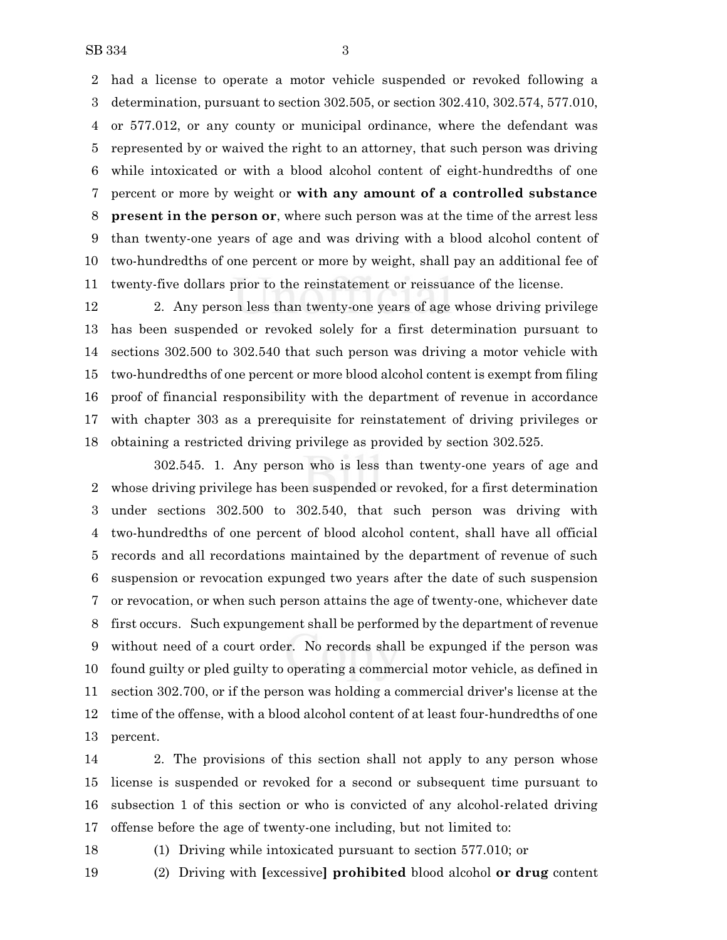had a license to operate a motor vehicle suspended or revoked following a determination, pursuant to section 302.505, or section 302.410, 302.574, 577.010, or 577.012, or any county or municipal ordinance, where the defendant was represented by or waived the right to an attorney, that such person was driving while intoxicated or with a blood alcohol content of eight-hundredths of one percent or more by weight or **with any amount of a controlled substance present in the person or**, where such person was at the time of the arrest less than twenty-one years of age and was driving with a blood alcohol content of two-hundredths of one percent or more by weight, shall pay an additional fee of twenty-five dollars prior to the reinstatement or reissuance of the license.

 2. Any person less than twenty-one years of age whose driving privilege has been suspended or revoked solely for a first determination pursuant to sections 302.500 to 302.540 that such person was driving a motor vehicle with two-hundredths of one percent or more blood alcohol content is exempt from filing proof of financial responsibility with the department of revenue in accordance with chapter 303 as a prerequisite for reinstatement of driving privileges or obtaining a restricted driving privilege as provided by section 302.525.

302.545. 1. Any person who is less than twenty-one years of age and whose driving privilege has been suspended or revoked, for a first determination under sections 302.500 to 302.540, that such person was driving with two-hundredths of one percent of blood alcohol content, shall have all official records and all recordations maintained by the department of revenue of such suspension or revocation expunged two years after the date of such suspension or revocation, or when such person attains the age of twenty-one, whichever date first occurs. Such expungement shall be performed by the department of revenue without need of a court order. No records shall be expunged if the person was found guilty or pled guilty to operating a commercial motor vehicle, as defined in section 302.700, or if the person was holding a commercial driver's license at the time of the offense, with a blood alcohol content of at least four-hundredths of one percent.

 2. The provisions of this section shall not apply to any person whose license is suspended or revoked for a second or subsequent time pursuant to subsection 1 of this section or who is convicted of any alcohol-related driving offense before the age of twenty-one including, but not limited to:

(1) Driving while intoxicated pursuant to section 577.010; or

(2) Driving with **[**excessive**] prohibited** blood alcohol **or drug** content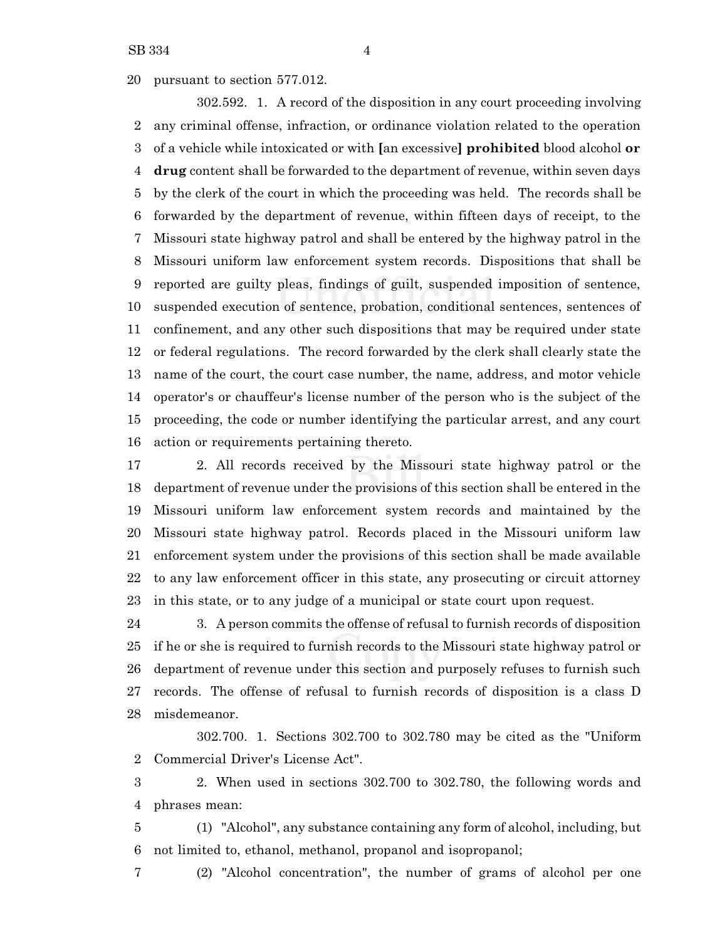pursuant to section 577.012.

302.592. 1. A record of the disposition in any court proceeding involving any criminal offense, infraction, or ordinance violation related to the operation of a vehicle while intoxicated or with **[**an excessive**] prohibited** blood alcohol **or drug** content shall be forwarded to the department of revenue, within seven days by the clerk of the court in which the proceeding was held. The records shall be forwarded by the department of revenue, within fifteen days of receipt, to the Missouri state highway patrol and shall be entered by the highway patrol in the Missouri uniform law enforcement system records. Dispositions that shall be reported are guilty pleas, findings of guilt, suspended imposition of sentence, suspended execution of sentence, probation, conditional sentences, sentences of confinement, and any other such dispositions that may be required under state or federal regulations. The record forwarded by the clerk shall clearly state the name of the court, the court case number, the name, address, and motor vehicle operator's or chauffeur's license number of the person who is the subject of the proceeding, the code or number identifying the particular arrest, and any court action or requirements pertaining thereto.

 2. All records received by the Missouri state highway patrol or the department of revenue under the provisions of this section shall be entered in the Missouri uniform law enforcement system records and maintained by the Missouri state highway patrol. Records placed in the Missouri uniform law enforcement system under the provisions of this section shall be made available to any law enforcement officer in this state, any prosecuting or circuit attorney in this state, or to any judge of a municipal or state court upon request.

 3. A person commits the offense of refusal to furnish records of disposition if he or she is required to furnish records to the Missouri state highway patrol or department of revenue under this section and purposely refuses to furnish such records. The offense of refusal to furnish records of disposition is a class D misdemeanor.

302.700. 1. Sections 302.700 to 302.780 may be cited as the "Uniform Commercial Driver's License Act".

 2. When used in sections 302.700 to 302.780, the following words and phrases mean:

 (1) "Alcohol", any substance containing any form of alcohol, including, but not limited to, ethanol, methanol, propanol and isopropanol;

(2) "Alcohol concentration", the number of grams of alcohol per one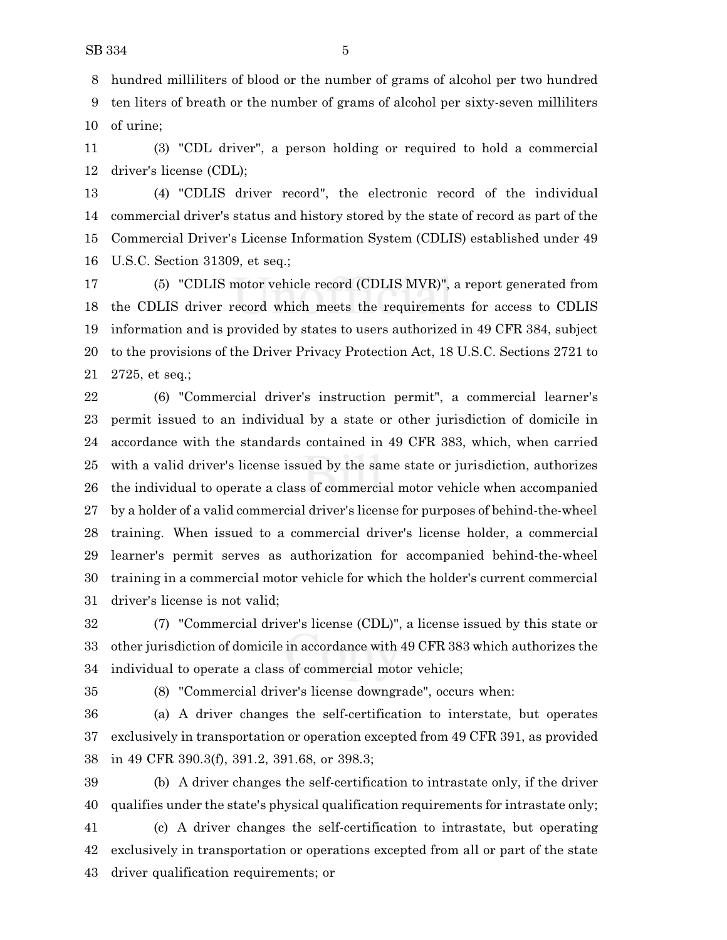hundred milliliters of blood or the number of grams of alcohol per two hundred ten liters of breath or the number of grams of alcohol per sixty-seven milliliters of urine;

 (3) "CDL driver", a person holding or required to hold a commercial driver's license (CDL);

 (4) "CDLIS driver record", the electronic record of the individual commercial driver's status and history stored by the state of record as part of the Commercial Driver's License Information System (CDLIS) established under 49 U.S.C. Section 31309, et seq.;

 (5) "CDLIS motor vehicle record (CDLIS MVR)", a report generated from the CDLIS driver record which meets the requirements for access to CDLIS information and is provided by states to users authorized in 49 CFR 384, subject to the provisions of the Driver Privacy Protection Act, 18 U.S.C. Sections 2721 to 2725, et seq.;

 (6) "Commercial driver's instruction permit", a commercial learner's permit issued to an individual by a state or other jurisdiction of domicile in accordance with the standards contained in 49 CFR 383, which, when carried with a valid driver's license issued by the same state or jurisdiction, authorizes the individual to operate a class of commercial motor vehicle when accompanied by a holder of a valid commercial driver's license for purposes of behind-the-wheel training. When issued to a commercial driver's license holder, a commercial learner's permit serves as authorization for accompanied behind-the-wheel training in a commercial motor vehicle for which the holder's current commercial driver's license is not valid;

 (7) "Commercial driver's license (CDL)", a license issued by this state or other jurisdiction of domicile in accordance with 49 CFR 383 which authorizes the individual to operate a class of commercial motor vehicle;

(8) "Commercial driver's license downgrade", occurs when:

 (a) A driver changes the self-certification to interstate, but operates exclusively in transportation or operation excepted from 49 CFR 391, as provided in 49 CFR 390.3(f), 391.2, 391.68, or 398.3;

 (b) A driver changes the self-certification to intrastate only, if the driver qualifies under the state's physical qualification requirements for intrastate only;

 (c) A driver changes the self-certification to intrastate, but operating exclusively in transportation or operations excepted from all or part of the state driver qualification requirements; or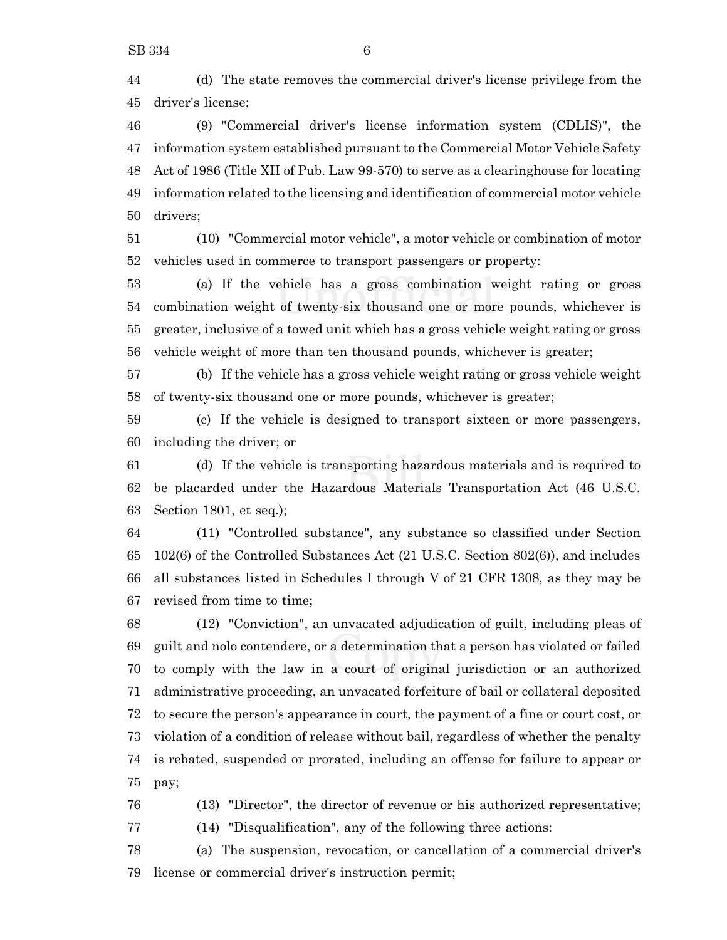(d) The state removes the commercial driver's license privilege from the driver's license;

 (9) "Commercial driver's license information system (CDLIS)", the information system established pursuant to the Commercial Motor Vehicle Safety Act of 1986 (Title XII of Pub. Law 99-570) to serve as a clearinghouse for locating information related to the licensing and identification of commercial motor vehicle drivers;

 (10) "Commercial motor vehicle", a motor vehicle or combination of motor vehicles used in commerce to transport passengers or property:

 (a) If the vehicle has a gross combination weight rating or gross combination weight of twenty-six thousand one or more pounds, whichever is greater, inclusive of a towed unit which has a gross vehicle weight rating or gross vehicle weight of more than ten thousand pounds, whichever is greater;

 (b) If the vehicle has a gross vehicle weight rating or gross vehicle weight of twenty-six thousand one or more pounds, whichever is greater;

 (c) If the vehicle is designed to transport sixteen or more passengers, including the driver; or

 (d) If the vehicle is transporting hazardous materials and is required to be placarded under the Hazardous Materials Transportation Act (46 U.S.C. Section 1801, et seq.);

 (11) "Controlled substance", any substance so classified under Section 102(6) of the Controlled Substances Act (21 U.S.C. Section 802(6)), and includes all substances listed in Schedules I through V of 21 CFR 1308, as they may be revised from time to time;

 (12) "Conviction", an unvacated adjudication of guilt, including pleas of guilt and nolo contendere, or a determination that a person has violated or failed to comply with the law in a court of original jurisdiction or an authorized administrative proceeding, an unvacated forfeiture of bail or collateral deposited to secure the person's appearance in court, the payment of a fine or court cost, or violation of a condition of release without bail, regardless of whether the penalty is rebated, suspended or prorated, including an offense for failure to appear or pay;

(13) "Director", the director of revenue or his authorized representative;

(14) "Disqualification", any of the following three actions:

 (a) The suspension, revocation, or cancellation of a commercial driver's license or commercial driver's instruction permit;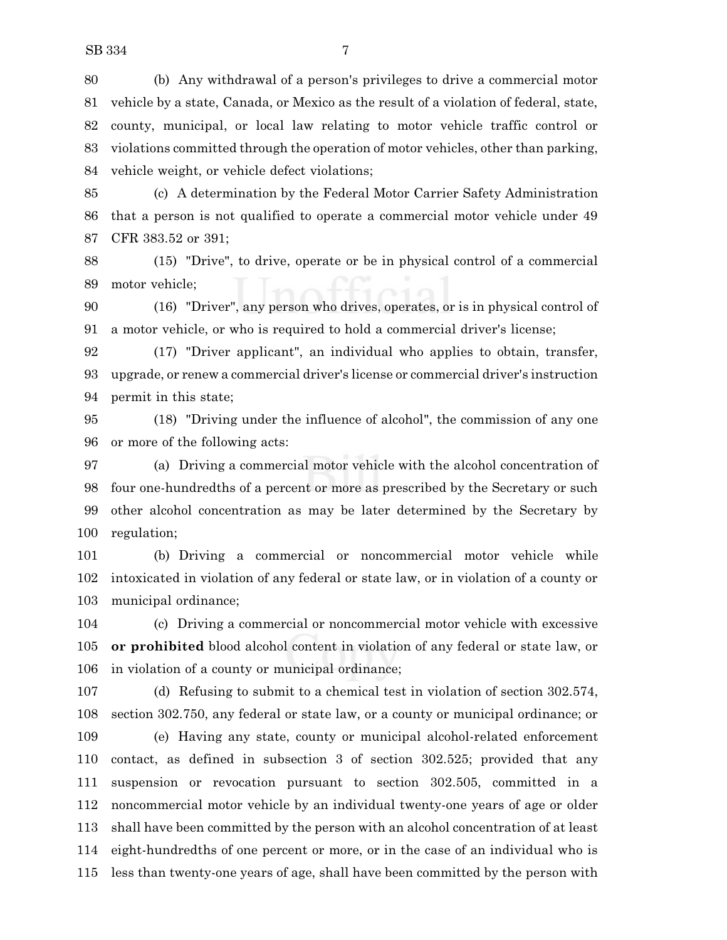(b) Any withdrawal of a person's privileges to drive a commercial motor vehicle by a state, Canada, or Mexico as the result of a violation of federal, state, county, municipal, or local law relating to motor vehicle traffic control or violations committed through the operation of motor vehicles, other than parking, vehicle weight, or vehicle defect violations;

 (c) A determination by the Federal Motor Carrier Safety Administration that a person is not qualified to operate a commercial motor vehicle under 49 CFR 383.52 or 391;

 (15) "Drive", to drive, operate or be in physical control of a commercial motor vehicle;

 (16) "Driver", any person who drives, operates, or is in physical control of a motor vehicle, or who is required to hold a commercial driver's license;

 (17) "Driver applicant", an individual who applies to obtain, transfer, upgrade, or renew a commercial driver's license or commercial driver's instruction permit in this state;

 (18) "Driving under the influence of alcohol", the commission of any one or more of the following acts:

 (a) Driving a commercial motor vehicle with the alcohol concentration of four one-hundredths of a percent or more as prescribed by the Secretary or such other alcohol concentration as may be later determined by the Secretary by regulation;

 (b) Driving a commercial or noncommercial motor vehicle while intoxicated in violation of any federal or state law, or in violation of a county or municipal ordinance;

 (c) Driving a commercial or noncommercial motor vehicle with excessive **or prohibited** blood alcohol content in violation of any federal or state law, or in violation of a county or municipal ordinance;

 (d) Refusing to submit to a chemical test in violation of section 302.574, section 302.750, any federal or state law, or a county or municipal ordinance; or

 (e) Having any state, county or municipal alcohol-related enforcement contact, as defined in subsection 3 of section 302.525; provided that any suspension or revocation pursuant to section 302.505, committed in a noncommercial motor vehicle by an individual twenty-one years of age or older shall have been committed by the person with an alcohol concentration of at least eight-hundredths of one percent or more, or in the case of an individual who is less than twenty-one years of age, shall have been committed by the person with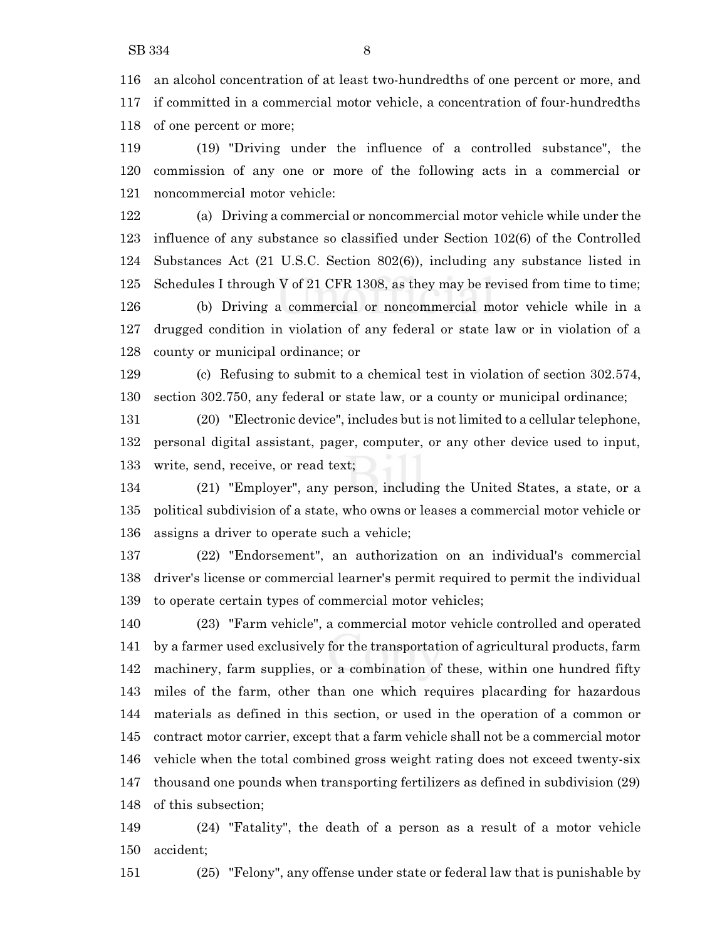an alcohol concentration of at least two-hundredths of one percent or more, and if committed in a commercial motor vehicle, a concentration of four-hundredths of one percent or more;

 (19) "Driving under the influence of a controlled substance", the commission of any one or more of the following acts in a commercial or noncommercial motor vehicle:

 (a) Driving a commercial or noncommercial motor vehicle while under the influence of any substance so classified under Section 102(6) of the Controlled Substances Act (21 U.S.C. Section 802(6)), including any substance listed in Schedules I through V of 21 CFR 1308, as they may be revised from time to time; (b) Driving a commercial or noncommercial motor vehicle while in a drugged condition in violation of any federal or state law or in violation of a county or municipal ordinance; or

 (c) Refusing to submit to a chemical test in violation of section 302.574, section 302.750, any federal or state law, or a county or municipal ordinance;

 (20) "Electronic device", includes but is not limited to a cellular telephone, personal digital assistant, pager, computer, or any other device used to input, write, send, receive, or read text;

 (21) "Employer", any person, including the United States, a state, or a political subdivision of a state, who owns or leases a commercial motor vehicle or assigns a driver to operate such a vehicle;

 (22) "Endorsement", an authorization on an individual's commercial driver's license or commercial learner's permit required to permit the individual to operate certain types of commercial motor vehicles;

 (23) "Farm vehicle", a commercial motor vehicle controlled and operated by a farmer used exclusively for the transportation of agricultural products, farm machinery, farm supplies, or a combination of these, within one hundred fifty miles of the farm, other than one which requires placarding for hazardous materials as defined in this section, or used in the operation of a common or contract motor carrier, except that a farm vehicle shall not be a commercial motor vehicle when the total combined gross weight rating does not exceed twenty-six thousand one pounds when transporting fertilizers as defined in subdivision (29) of this subsection;

 (24) "Fatality", the death of a person as a result of a motor vehicle accident;

(25) "Felony", any offense under state or federal law that is punishable by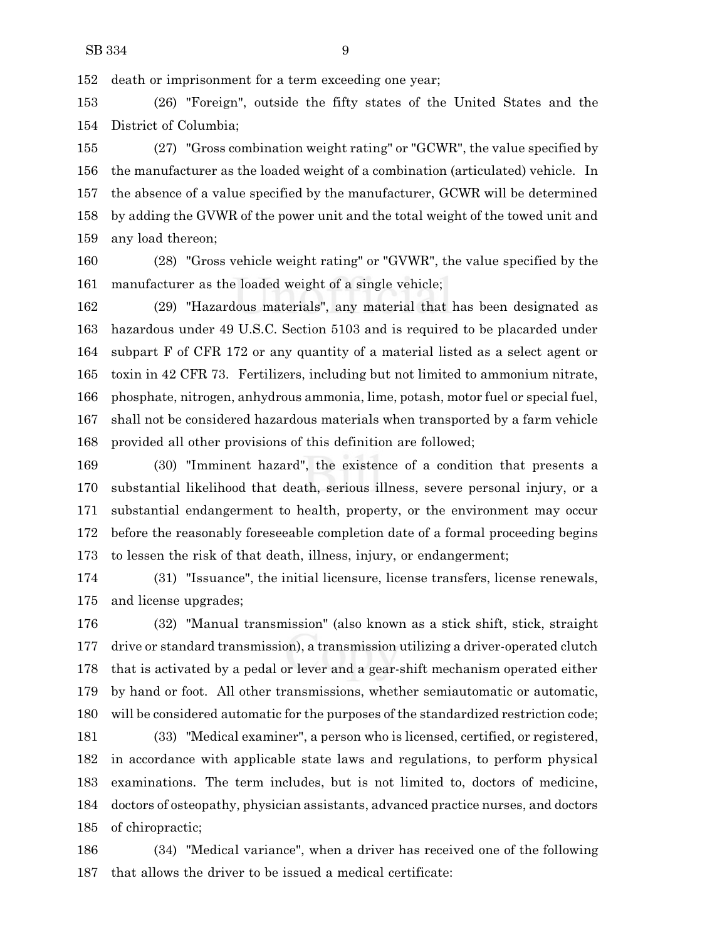death or imprisonment for a term exceeding one year;

 (26) "Foreign", outside the fifty states of the United States and the District of Columbia;

 (27) "Gross combination weight rating" or "GCWR", the value specified by the manufacturer as the loaded weight of a combination (articulated) vehicle. In the absence of a value specified by the manufacturer, GCWR will be determined by adding the GVWR of the power unit and the total weight of the towed unit and any load thereon;

 (28) "Gross vehicle weight rating" or "GVWR", the value specified by the manufacturer as the loaded weight of a single vehicle;

 (29) "Hazardous materials", any material that has been designated as hazardous under 49 U.S.C. Section 5103 and is required to be placarded under subpart F of CFR 172 or any quantity of a material listed as a select agent or toxin in 42 CFR 73. Fertilizers, including but not limited to ammonium nitrate, phosphate, nitrogen, anhydrous ammonia, lime, potash, motor fuel or special fuel, shall not be considered hazardous materials when transported by a farm vehicle provided all other provisions of this definition are followed;

 (30) "Imminent hazard", the existence of a condition that presents a substantial likelihood that death, serious illness, severe personal injury, or a substantial endangerment to health, property, or the environment may occur before the reasonably foreseeable completion date of a formal proceeding begins to lessen the risk of that death, illness, injury, or endangerment;

 (31) "Issuance", the initial licensure, license transfers, license renewals, and license upgrades;

 (32) "Manual transmission" (also known as a stick shift, stick, straight drive or standard transmission), a transmission utilizing a driver-operated clutch that is activated by a pedal or lever and a gear-shift mechanism operated either by hand or foot. All other transmissions, whether semiautomatic or automatic, will be considered automatic for the purposes of the standardized restriction code;

 (33) "Medical examiner", a person who is licensed, certified, or registered, in accordance with applicable state laws and regulations, to perform physical examinations. The term includes, but is not limited to, doctors of medicine, doctors of osteopathy, physician assistants, advanced practice nurses, and doctors of chiropractic;

 (34) "Medical variance", when a driver has received one of the following that allows the driver to be issued a medical certificate: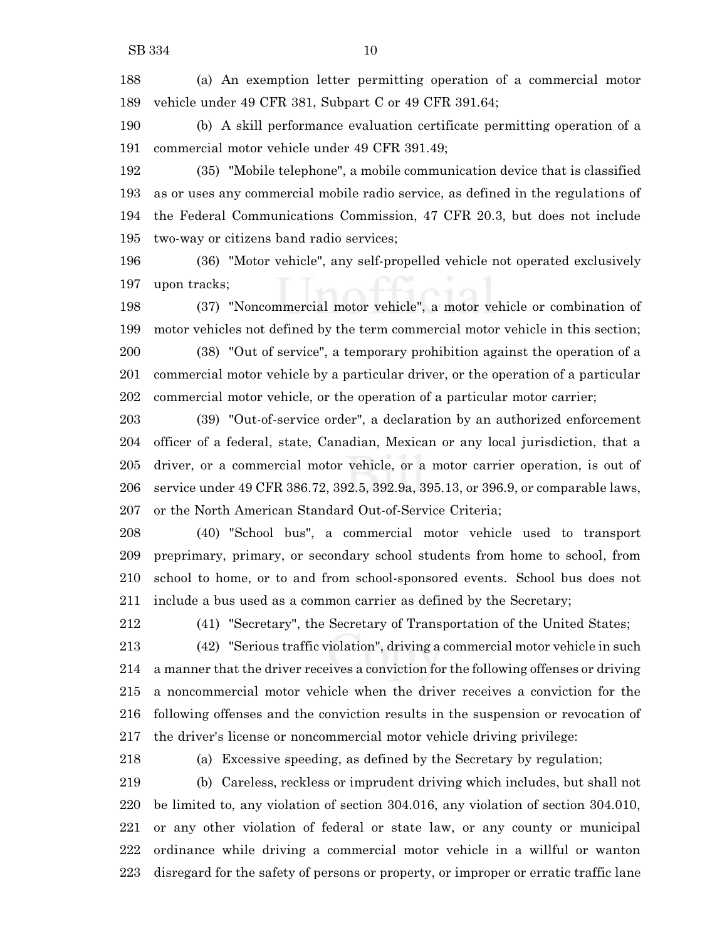(a) An exemption letter permitting operation of a commercial motor vehicle under 49 CFR 381, Subpart C or 49 CFR 391.64;

 (b) A skill performance evaluation certificate permitting operation of a commercial motor vehicle under 49 CFR 391.49;

 (35) "Mobile telephone", a mobile communication device that is classified as or uses any commercial mobile radio service, as defined in the regulations of the Federal Communications Commission, 47 CFR 20.3, but does not include two-way or citizens band radio services;

 (36) "Motor vehicle", any self-propelled vehicle not operated exclusively upon tracks;

 (37) "Noncommercial motor vehicle", a motor vehicle or combination of motor vehicles not defined by the term commercial motor vehicle in this section; (38) "Out of service", a temporary prohibition against the operation of a commercial motor vehicle by a particular driver, or the operation of a particular commercial motor vehicle, or the operation of a particular motor carrier;

 (39) "Out-of-service order", a declaration by an authorized enforcement officer of a federal, state, Canadian, Mexican or any local jurisdiction, that a driver, or a commercial motor vehicle, or a motor carrier operation, is out of service under 49 CFR 386.72, 392.5, 392.9a, 395.13, or 396.9, or comparable laws, or the North American Standard Out-of-Service Criteria;

 (40) "School bus", a commercial motor vehicle used to transport preprimary, primary, or secondary school students from home to school, from school to home, or to and from school-sponsored events. School bus does not include a bus used as a common carrier as defined by the Secretary;

(41) "Secretary", the Secretary of Transportation of the United States;

 (42) "Serious traffic violation", driving a commercial motor vehicle in such a manner that the driver receives a conviction for the following offenses or driving a noncommercial motor vehicle when the driver receives a conviction for the following offenses and the conviction results in the suspension or revocation of the driver's license or noncommercial motor vehicle driving privilege:

(a) Excessive speeding, as defined by the Secretary by regulation;

 (b) Careless, reckless or imprudent driving which includes, but shall not be limited to, any violation of section 304.016, any violation of section 304.010, or any other violation of federal or state law, or any county or municipal ordinance while driving a commercial motor vehicle in a willful or wanton disregard for the safety of persons or property, or improper or erratic traffic lane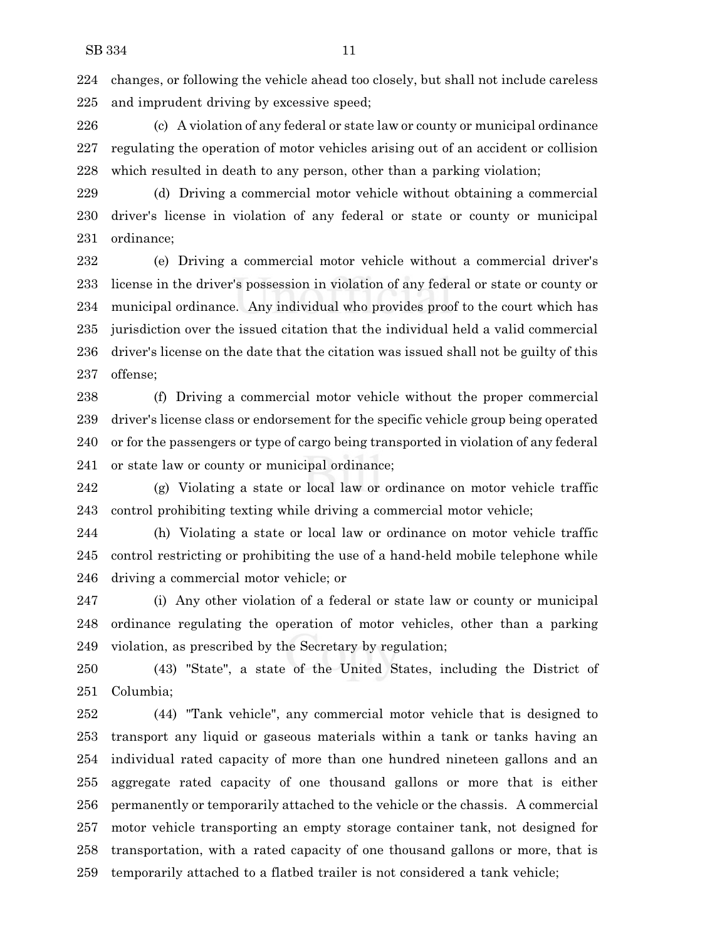changes, or following the vehicle ahead too closely, but shall not include careless and imprudent driving by excessive speed;

 (c) A violation of any federal or state law or county or municipal ordinance regulating the operation of motor vehicles arising out of an accident or collision which resulted in death to any person, other than a parking violation;

 (d) Driving a commercial motor vehicle without obtaining a commercial driver's license in violation of any federal or state or county or municipal ordinance;

 (e) Driving a commercial motor vehicle without a commercial driver's license in the driver's possession in violation of any federal or state or county or municipal ordinance. Any individual who provides proof to the court which has jurisdiction over the issued citation that the individual held a valid commercial driver's license on the date that the citation was issued shall not be guilty of this offense;

 (f) Driving a commercial motor vehicle without the proper commercial driver's license class or endorsement for the specific vehicle group being operated or for the passengers or type of cargo being transported in violation of any federal or state law or county or municipal ordinance;

 (g) Violating a state or local law or ordinance on motor vehicle traffic control prohibiting texting while driving a commercial motor vehicle;

 (h) Violating a state or local law or ordinance on motor vehicle traffic control restricting or prohibiting the use of a hand-held mobile telephone while driving a commercial motor vehicle; or

 (i) Any other violation of a federal or state law or county or municipal ordinance regulating the operation of motor vehicles, other than a parking violation, as prescribed by the Secretary by regulation;

 (43) "State", a state of the United States, including the District of Columbia;

 (44) "Tank vehicle", any commercial motor vehicle that is designed to transport any liquid or gaseous materials within a tank or tanks having an individual rated capacity of more than one hundred nineteen gallons and an aggregate rated capacity of one thousand gallons or more that is either permanently or temporarily attached to the vehicle or the chassis. A commercial motor vehicle transporting an empty storage container tank, not designed for transportation, with a rated capacity of one thousand gallons or more, that is temporarily attached to a flatbed trailer is not considered a tank vehicle;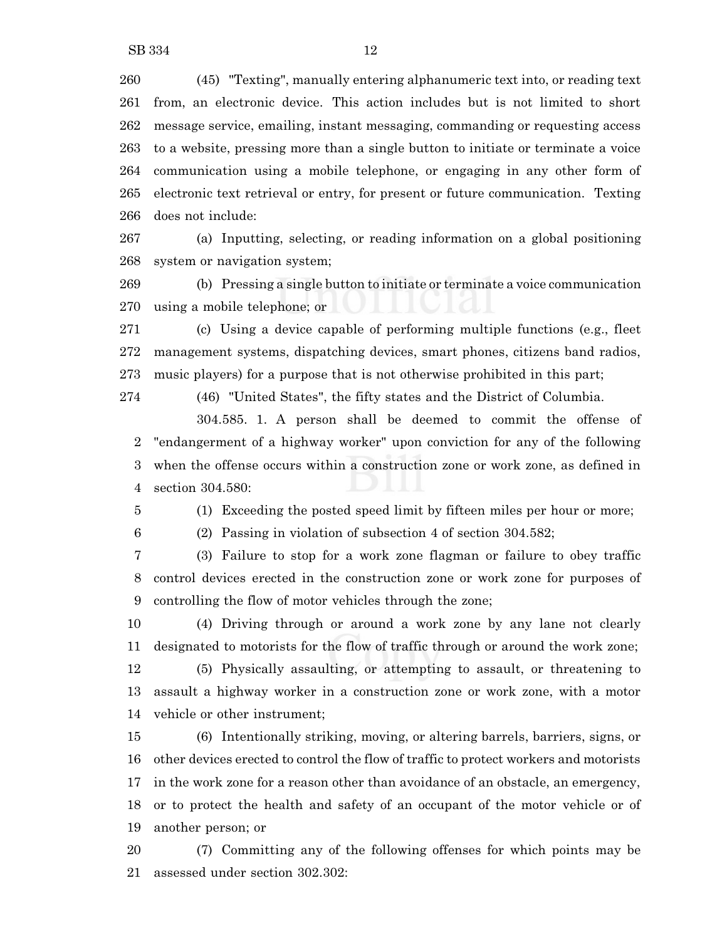(45) "Texting", manually entering alphanumeric text into, or reading text from, an electronic device. This action includes but is not limited to short message service, emailing, instant messaging, commanding or requesting access to a website, pressing more than a single button to initiate or terminate a voice communication using a mobile telephone, or engaging in any other form of electronic text retrieval or entry, for present or future communication. Texting does not include:

 (a) Inputting, selecting, or reading information on a global positioning system or navigation system;

 (b) Pressing a single button to initiate or terminate a voice communication using a mobile telephone; or

 (c) Using a device capable of performing multiple functions (e.g., fleet management systems, dispatching devices, smart phones, citizens band radios, music players) for a purpose that is not otherwise prohibited in this part;

(46) "United States", the fifty states and the District of Columbia.

304.585. 1. A person shall be deemed to commit the offense of "endangerment of a highway worker" upon conviction for any of the following when the offense occurs within a construction zone or work zone, as defined in section 304.580:

(1) Exceeding the posted speed limit by fifteen miles per hour or more;

(2) Passing in violation of subsection 4 of section 304.582;

 (3) Failure to stop for a work zone flagman or failure to obey traffic control devices erected in the construction zone or work zone for purposes of controlling the flow of motor vehicles through the zone;

 (4) Driving through or around a work zone by any lane not clearly designated to motorists for the flow of traffic through or around the work zone; (5) Physically assaulting, or attempting to assault, or threatening to assault a highway worker in a construction zone or work zone, with a motor vehicle or other instrument;

 (6) Intentionally striking, moving, or altering barrels, barriers, signs, or other devices erected to control the flow of traffic to protect workers and motorists in the work zone for a reason other than avoidance of an obstacle, an emergency, or to protect the health and safety of an occupant of the motor vehicle or of another person; or

 (7) Committing any of the following offenses for which points may be assessed under section 302.302: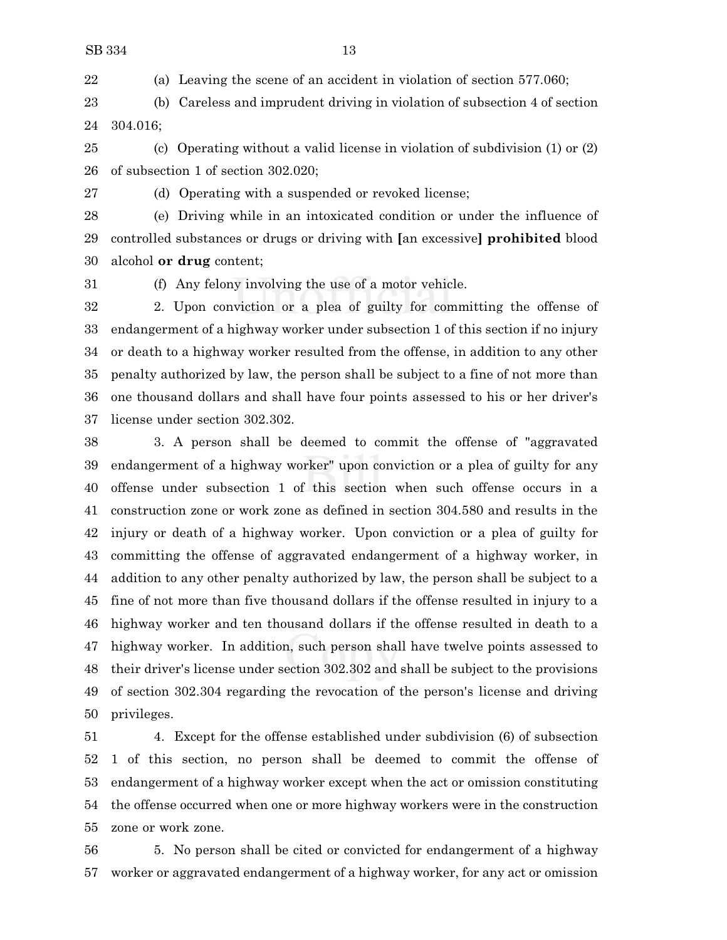(a) Leaving the scene of an accident in violation of section 577.060;

 (b) Careless and imprudent driving in violation of subsection 4 of section 304.016;

 (c) Operating without a valid license in violation of subdivision (1) or (2) of subsection 1 of section 302.020;

(d) Operating with a suspended or revoked license;

 (e) Driving while in an intoxicated condition or under the influence of controlled substances or drugs or driving with **[**an excessive**] prohibited** blood alcohol **or drug** content;

(f) Any felony involving the use of a motor vehicle.

 2. Upon conviction or a plea of guilty for committing the offense of endangerment of a highway worker under subsection 1 of this section if no injury or death to a highway worker resulted from the offense, in addition to any other penalty authorized by law, the person shall be subject to a fine of not more than one thousand dollars and shall have four points assessed to his or her driver's license under section 302.302.

 3. A person shall be deemed to commit the offense of "aggravated endangerment of a highway worker" upon conviction or a plea of guilty for any offense under subsection 1 of this section when such offense occurs in a construction zone or work zone as defined in section 304.580 and results in the injury or death of a highway worker. Upon conviction or a plea of guilty for committing the offense of aggravated endangerment of a highway worker, in addition to any other penalty authorized by law, the person shall be subject to a fine of not more than five thousand dollars if the offense resulted in injury to a highway worker and ten thousand dollars if the offense resulted in death to a highway worker. In addition, such person shall have twelve points assessed to their driver's license under section 302.302 and shall be subject to the provisions of section 302.304 regarding the revocation of the person's license and driving privileges.

 4. Except for the offense established under subdivision (6) of subsection 1 of this section, no person shall be deemed to commit the offense of endangerment of a highway worker except when the act or omission constituting the offense occurred when one or more highway workers were in the construction zone or work zone.

 5. No person shall be cited or convicted for endangerment of a highway worker or aggravated endangerment of a highway worker, for any act or omission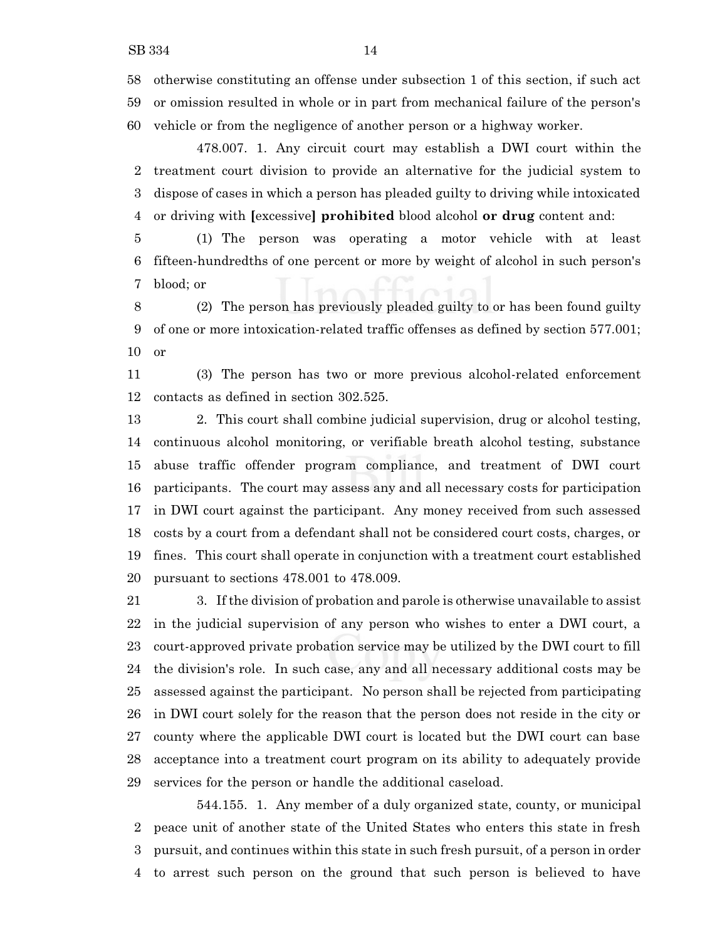otherwise constituting an offense under subsection 1 of this section, if such act or omission resulted in whole or in part from mechanical failure of the person's vehicle or from the negligence of another person or a highway worker.

478.007. 1. Any circuit court may establish a DWI court within the treatment court division to provide an alternative for the judicial system to dispose of cases in which a person has pleaded guilty to driving while intoxicated or driving with **[**excessive**] prohibited** blood alcohol **or drug** content and:

 (1) The person was operating a motor vehicle with at least fifteen-hundredths of one percent or more by weight of alcohol in such person's blood; or

 (2) The person has previously pleaded guilty to or has been found guilty of one or more intoxication-related traffic offenses as defined by section 577.001; or

 (3) The person has two or more previous alcohol-related enforcement contacts as defined in section 302.525.

 2. This court shall combine judicial supervision, drug or alcohol testing, continuous alcohol monitoring, or verifiable breath alcohol testing, substance abuse traffic offender program compliance, and treatment of DWI court participants. The court may assess any and all necessary costs for participation in DWI court against the participant. Any money received from such assessed costs by a court from a defendant shall not be considered court costs, charges, or fines. This court shall operate in conjunction with a treatment court established pursuant to sections 478.001 to 478.009.

 3. If the division of probation and parole is otherwise unavailable to assist in the judicial supervision of any person who wishes to enter a DWI court, a court-approved private probation service may be utilized by the DWI court to fill the division's role. In such case, any and all necessary additional costs may be assessed against the participant. No person shall be rejected from participating in DWI court solely for the reason that the person does not reside in the city or county where the applicable DWI court is located but the DWI court can base acceptance into a treatment court program on its ability to adequately provide services for the person or handle the additional caseload.

544.155. 1. Any member of a duly organized state, county, or municipal peace unit of another state of the United States who enters this state in fresh pursuit, and continues within this state in such fresh pursuit, of a person in order to arrest such person on the ground that such person is believed to have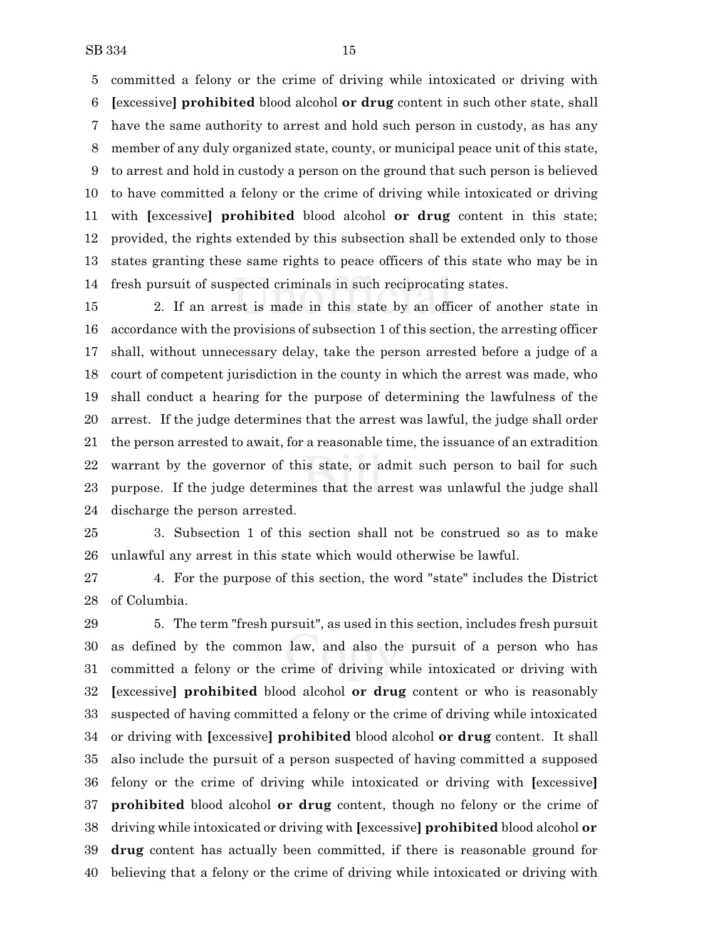committed a felony or the crime of driving while intoxicated or driving with **[**excessive**] prohibited** blood alcohol **or drug** content in such other state, shall have the same authority to arrest and hold such person in custody, as has any member of any duly organized state, county, or municipal peace unit of this state, to arrest and hold in custody a person on the ground that such person is believed to have committed a felony or the crime of driving while intoxicated or driving with **[**excessive**] prohibited** blood alcohol **or drug** content in this state; provided, the rights extended by this subsection shall be extended only to those states granting these same rights to peace officers of this state who may be in fresh pursuit of suspected criminals in such reciprocating states.

 2. If an arrest is made in this state by an officer of another state in accordance with the provisions of subsection 1 of this section, the arresting officer shall, without unnecessary delay, take the person arrested before a judge of a court of competent jurisdiction in the county in which the arrest was made, who shall conduct a hearing for the purpose of determining the lawfulness of the arrest. If the judge determines that the arrest was lawful, the judge shall order the person arrested to await, for a reasonable time, the issuance of an extradition warrant by the governor of this state, or admit such person to bail for such purpose. If the judge determines that the arrest was unlawful the judge shall discharge the person arrested.

 3. Subsection 1 of this section shall not be construed so as to make unlawful any arrest in this state which would otherwise be lawful.

 4. For the purpose of this section, the word "state" includes the District of Columbia.

 5. The term "fresh pursuit", as used in this section, includes fresh pursuit as defined by the common law, and also the pursuit of a person who has committed a felony or the crime of driving while intoxicated or driving with **[**excessive**] prohibited** blood alcohol **or drug** content or who is reasonably suspected of having committed a felony or the crime of driving while intoxicated or driving with **[**excessive**] prohibited** blood alcohol **or drug** content. It shall also include the pursuit of a person suspected of having committed a supposed felony or the crime of driving while intoxicated or driving with **[**excessive**] prohibited** blood alcohol **or drug** content, though no felony or the crime of driving while intoxicated or driving with **[**excessive**] prohibited** blood alcohol **or drug** content has actually been committed, if there is reasonable ground for believing that a felony or the crime of driving while intoxicated or driving with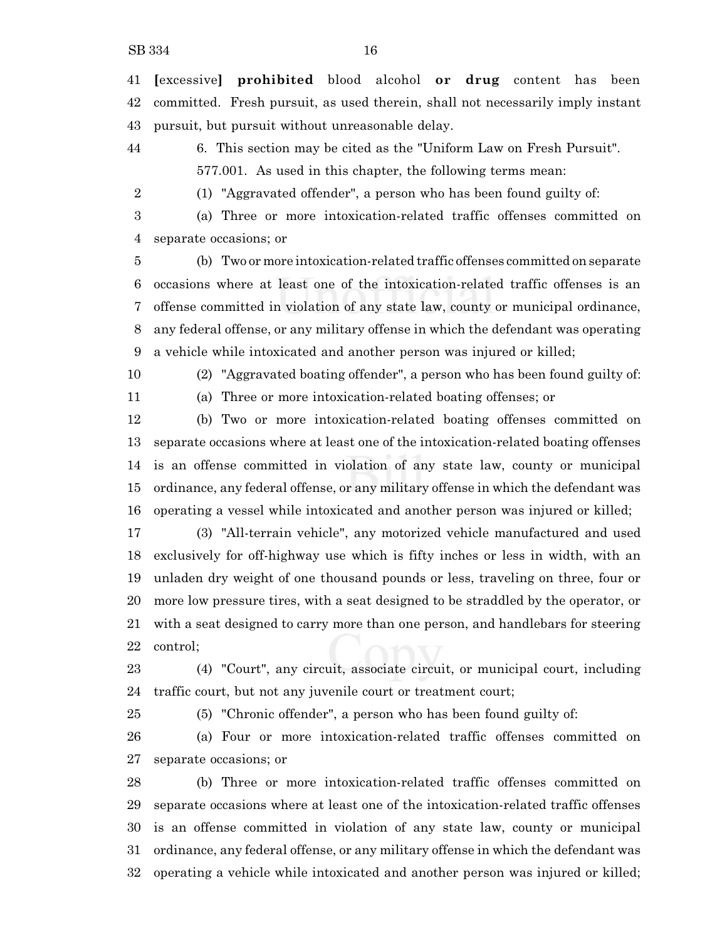**[**excessive**] prohibited** blood alcohol **or drug** content has been committed. Fresh pursuit, as used therein, shall not necessarily imply instant pursuit, but pursuit without unreasonable delay.

6. This section may be cited as the "Uniform Law on Fresh Pursuit".

577.001. As used in this chapter, the following terms mean:

(1) "Aggravated offender", a person who has been found guilty of:

 (a) Three or more intoxication-related traffic offenses committed on separate occasions; or

 (b) Two or more intoxication-related traffic offenses committed on separate occasions where at least one of the intoxication-related traffic offenses is an offense committed in violation of any state law, county or municipal ordinance, any federal offense, or any military offense in which the defendant was operating a vehicle while intoxicated and another person was injured or killed;

(2) "Aggravated boating offender", a person who has been found guilty of:

(a) Three or more intoxication-related boating offenses; or

 (b) Two or more intoxication-related boating offenses committed on separate occasions where at least one of the intoxication-related boating offenses is an offense committed in violation of any state law, county or municipal ordinance, any federal offense, or any military offense in which the defendant was operating a vessel while intoxicated and another person was injured or killed;

 (3) "All-terrain vehicle", any motorized vehicle manufactured and used exclusively for off-highway use which is fifty inches or less in width, with an unladen dry weight of one thousand pounds or less, traveling on three, four or more low pressure tires, with a seat designed to be straddled by the operator, or with a seat designed to carry more than one person, and handlebars for steering control;

 (4) "Court", any circuit, associate circuit, or municipal court, including traffic court, but not any juvenile court or treatment court;

(5) "Chronic offender", a person who has been found guilty of:

 (a) Four or more intoxication-related traffic offenses committed on separate occasions; or

 (b) Three or more intoxication-related traffic offenses committed on separate occasions where at least one of the intoxication-related traffic offenses is an offense committed in violation of any state law, county or municipal ordinance, any federal offense, or any military offense in which the defendant was operating a vehicle while intoxicated and another person was injured or killed;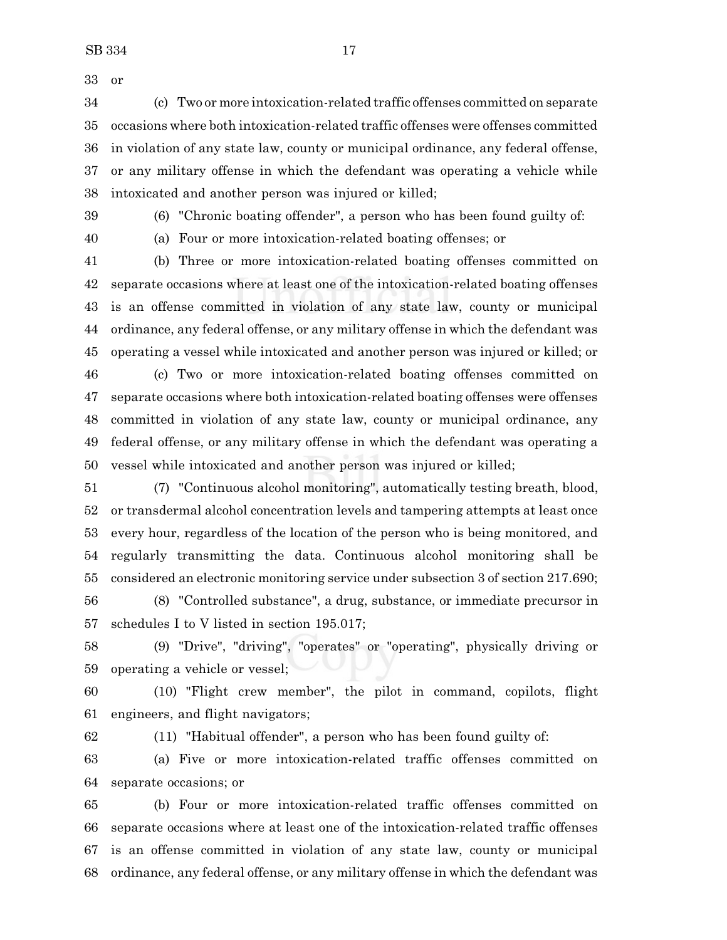(c) Two or more intoxication-related traffic offenses committed on separate occasions where both intoxication-related traffic offenses were offenses committed in violation of any state law, county or municipal ordinance, any federal offense, or any military offense in which the defendant was operating a vehicle while intoxicated and another person was injured or killed;

(6) "Chronic boating offender", a person who has been found guilty of:

(a) Four or more intoxication-related boating offenses; or

 (b) Three or more intoxication-related boating offenses committed on separate occasions where at least one of the intoxication-related boating offenses is an offense committed in violation of any state law, county or municipal ordinance, any federal offense, or any military offense in which the defendant was operating a vessel while intoxicated and another person was injured or killed; or

 (c) Two or more intoxication-related boating offenses committed on separate occasions where both intoxication-related boating offenses were offenses committed in violation of any state law, county or municipal ordinance, any federal offense, or any military offense in which the defendant was operating a vessel while intoxicated and another person was injured or killed;

 (7) "Continuous alcohol monitoring", automatically testing breath, blood, or transdermal alcohol concentration levels and tampering attempts at least once every hour, regardless of the location of the person who is being monitored, and regularly transmitting the data. Continuous alcohol monitoring shall be considered an electronic monitoring service under subsection 3 of section 217.690;

 (8) "Controlled substance", a drug, substance, or immediate precursor in schedules I to V listed in section 195.017;

 (9) "Drive", "driving", "operates" or "operating", physically driving or operating a vehicle or vessel;

 (10) "Flight crew member", the pilot in command, copilots, flight engineers, and flight navigators;

(11) "Habitual offender", a person who has been found guilty of:

 (a) Five or more intoxication-related traffic offenses committed on separate occasions; or

 (b) Four or more intoxication-related traffic offenses committed on separate occasions where at least one of the intoxication-related traffic offenses is an offense committed in violation of any state law, county or municipal ordinance, any federal offense, or any military offense in which the defendant was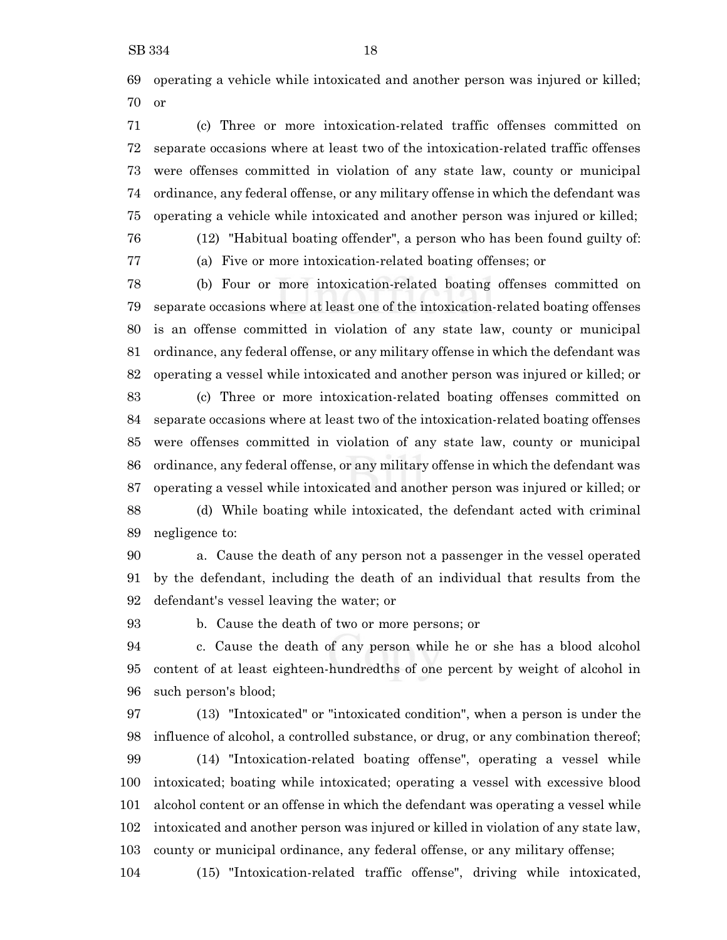operating a vehicle while intoxicated and another person was injured or killed; or

 (c) Three or more intoxication-related traffic offenses committed on separate occasions where at least two of the intoxication-related traffic offenses were offenses committed in violation of any state law, county or municipal ordinance, any federal offense, or any military offense in which the defendant was operating a vehicle while intoxicated and another person was injured or killed;

(12) "Habitual boating offender", a person who has been found guilty of:

(a) Five or more intoxication-related boating offenses; or

 (b) Four or more intoxication-related boating offenses committed on separate occasions where at least one of the intoxication-related boating offenses is an offense committed in violation of any state law, county or municipal ordinance, any federal offense, or any military offense in which the defendant was operating a vessel while intoxicated and another person was injured or killed; or

 (c) Three or more intoxication-related boating offenses committed on separate occasions where at least two of the intoxication-related boating offenses were offenses committed in violation of any state law, county or municipal ordinance, any federal offense, or any military offense in which the defendant was operating a vessel while intoxicated and another person was injured or killed; or (d) While boating while intoxicated, the defendant acted with criminal negligence to:

 a. Cause the death of any person not a passenger in the vessel operated by the defendant, including the death of an individual that results from the defendant's vessel leaving the water; or

b. Cause the death of two or more persons; or

 c. Cause the death of any person while he or she has a blood alcohol content of at least eighteen-hundredths of one percent by weight of alcohol in such person's blood;

 (13) "Intoxicated" or "intoxicated condition", when a person is under the influence of alcohol, a controlled substance, or drug, or any combination thereof; (14) "Intoxication-related boating offense", operating a vessel while intoxicated; boating while intoxicated; operating a vessel with excessive blood alcohol content or an offense in which the defendant was operating a vessel while intoxicated and another person was injured or killed in violation of any state law, county or municipal ordinance, any federal offense, or any military offense;

(15) "Intoxication-related traffic offense", driving while intoxicated,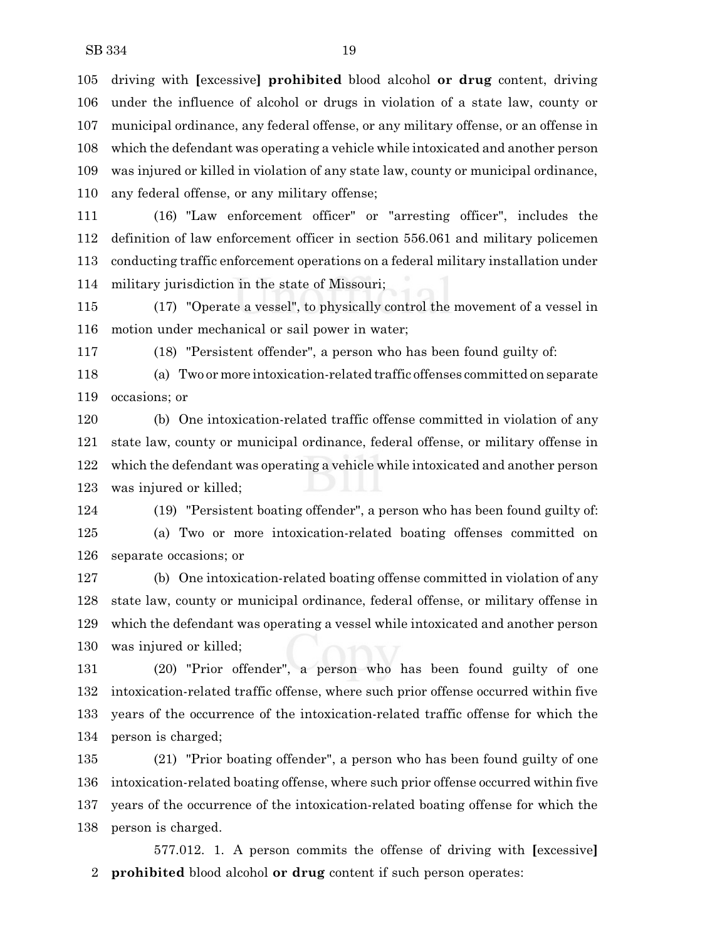driving with **[**excessive**] prohibited** blood alcohol **or drug** content, driving under the influence of alcohol or drugs in violation of a state law, county or municipal ordinance, any federal offense, or any military offense, or an offense in which the defendant was operating a vehicle while intoxicated and another person was injured or killed in violation of any state law, county or municipal ordinance, any federal offense, or any military offense;

 (16) "Law enforcement officer" or "arresting officer", includes the definition of law enforcement officer in section 556.061 and military policemen conducting traffic enforcement operations on a federal military installation under military jurisdiction in the state of Missouri;

 (17) "Operate a vessel", to physically control the movement of a vessel in motion under mechanical or sail power in water;

(18) "Persistent offender", a person who has been found guilty of:

 (a) Two or more intoxication-related traffic offenses committed onseparate occasions; or

 (b) One intoxication-related traffic offense committed in violation of any state law, county or municipal ordinance, federal offense, or military offense in which the defendant was operating a vehicle while intoxicated and another person was injured or killed;

 (19) "Persistent boating offender", a person who has been found guilty of: (a) Two or more intoxication-related boating offenses committed on separate occasions; or

 (b) One intoxication-related boating offense committed in violation of any state law, county or municipal ordinance, federal offense, or military offense in which the defendant was operating a vessel while intoxicated and another person was injured or killed;

 (20) "Prior offender", a person who has been found guilty of one intoxication-related traffic offense, where such prior offense occurred within five years of the occurrence of the intoxication-related traffic offense for which the person is charged;

 (21) "Prior boating offender", a person who has been found guilty of one intoxication-related boating offense, where such prior offense occurred within five years of the occurrence of the intoxication-related boating offense for which the person is charged.

577.012. 1. A person commits the offense of driving with **[**excessive**] prohibited** blood alcohol **or drug** content if such person operates: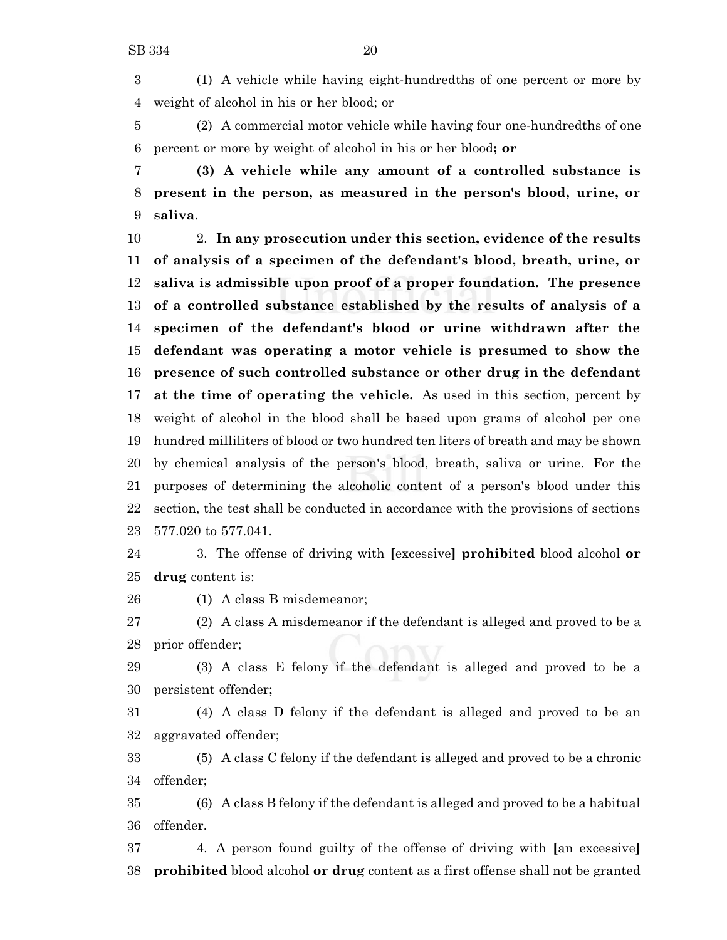(1) A vehicle while having eight-hundredths of one percent or more by weight of alcohol in his or her blood; or

 (2) A commercial motor vehicle while having four one-hundredths of one percent or more by weight of alcohol in his or her blood**; or**

 **(3) A vehicle while any amount of a controlled substance is present in the person, as measured in the person's blood, urine, or saliva**.

 2. **In any prosecution under this section, evidence of the results of analysis of a specimen of the defendant's blood, breath, urine, or saliva is admissible upon proof of a proper foundation. The presence of a controlled substance established by the results of analysis of a specimen of the defendant's blood or urine withdrawn after the defendant was operating a motor vehicle is presumed to show the presence of such controlled substance or other drug in the defendant at the time of operating the vehicle.** As used in this section, percent by weight of alcohol in the blood shall be based upon grams of alcohol per one hundred milliliters of blood or two hundred ten liters of breath and may be shown by chemical analysis of the person's blood, breath, saliva or urine. For the purposes of determining the alcoholic content of a person's blood under this section, the test shall be conducted in accordance with the provisions of sections 577.020 to 577.041.

 3. The offense of driving with **[**excessive**] prohibited** blood alcohol **or drug** content is:

(1) A class B misdemeanor;

 (2) A class A misdemeanor if the defendant is alleged and proved to be a prior offender;

 (3) A class E felony if the defendant is alleged and proved to be a persistent offender;

 (4) A class D felony if the defendant is alleged and proved to be an aggravated offender;

 (5) A class C felony if the defendant is alleged and proved to be a chronic offender;

 (6) A class B felony if the defendant is alleged and proved to be a habitual offender.

 4. A person found guilty of the offense of driving with **[**an excessive**] prohibited** blood alcohol **or drug** content as a first offense shall not be granted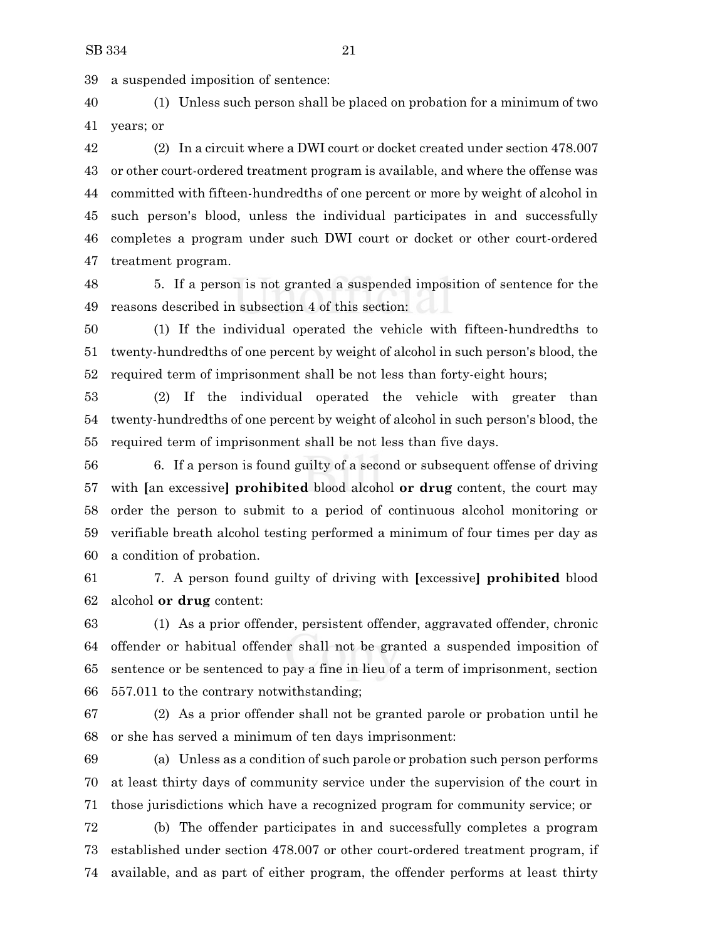a suspended imposition of sentence:

 (1) Unless such person shall be placed on probation for a minimum of two years; or

 (2) In a circuit where a DWI court or docket created under section 478.007 or other court-ordered treatment program is available, and where the offense was committed with fifteen-hundredths of one percent or more by weight of alcohol in such person's blood, unless the individual participates in and successfully completes a program under such DWI court or docket or other court-ordered treatment program.

 5. If a person is not granted a suspended imposition of sentence for the reasons described in subsection 4 of this section:

 (1) If the individual operated the vehicle with fifteen-hundredths to twenty-hundredths of one percent by weight of alcohol in such person's blood, the required term of imprisonment shall be not less than forty-eight hours;

 (2) If the individual operated the vehicle with greater than twenty-hundredths of one percent by weight of alcohol in such person's blood, the required term of imprisonment shall be not less than five days.

 6. If a person is found guilty of a second or subsequent offense of driving with **[**an excessive**] prohibited** blood alcohol **or drug** content, the court may order the person to submit to a period of continuous alcohol monitoring or verifiable breath alcohol testing performed a minimum of four times per day as a condition of probation.

 7. A person found guilty of driving with **[**excessive**] prohibited** blood alcohol **or drug** content:

 (1) As a prior offender, persistent offender, aggravated offender, chronic offender or habitual offender shall not be granted a suspended imposition of sentence or be sentenced to pay a fine in lieu of a term of imprisonment, section 557.011 to the contrary notwithstanding;

 (2) As a prior offender shall not be granted parole or probation until he or she has served a minimum of ten days imprisonment:

 (a) Unless as a condition of such parole or probation such person performs at least thirty days of community service under the supervision of the court in those jurisdictions which have a recognized program for community service; or

 (b) The offender participates in and successfully completes a program established under section 478.007 or other court-ordered treatment program, if available, and as part of either program, the offender performs at least thirty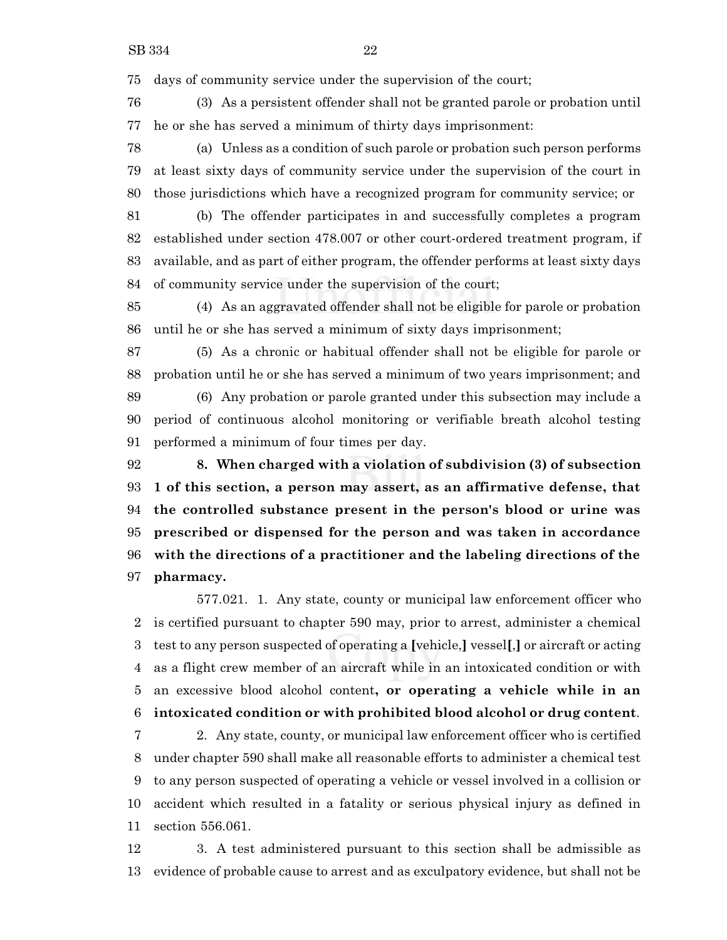days of community service under the supervision of the court;

 (3) As a persistent offender shall not be granted parole or probation until he or she has served a minimum of thirty days imprisonment:

 (a) Unless as a condition of such parole or probation such person performs at least sixty days of community service under the supervision of the court in those jurisdictions which have a recognized program for community service; or

 (b) The offender participates in and successfully completes a program established under section 478.007 or other court-ordered treatment program, if available, and as part of either program, the offender performs at least sixty days of community service under the supervision of the court;

 (4) As an aggravated offender shall not be eligible for parole or probation until he or she has served a minimum of sixty days imprisonment;

 (5) As a chronic or habitual offender shall not be eligible for parole or probation until he or she has served a minimum of two years imprisonment; and (6) Any probation or parole granted under this subsection may include a

 period of continuous alcohol monitoring or verifiable breath alcohol testing performed a minimum of four times per day.

 **8. When charged with a violation of subdivision (3) of subsection 1 of this section, a person may assert, as an affirmative defense, that the controlled substance present in the person's blood or urine was prescribed or dispensed for the person and was taken in accordance with the directions of a practitioner and the labeling directions of the pharmacy.**

577.021. 1. Any state, county or municipal law enforcement officer who is certified pursuant to chapter 590 may, prior to arrest, administer a chemical test to any person suspected of operating a **[**vehicle,**]** vessel**[**,**]** or aircraft or acting as a flight crew member of an aircraft while in an intoxicated condition or with an excessive blood alcohol content**, or operating a vehicle while in an intoxicated condition or with prohibited blood alcohol or drug content**.

 2. Any state, county, or municipal law enforcement officer who is certified under chapter 590 shall make all reasonable efforts to administer a chemical test to any person suspected of operating a vehicle or vessel involved in a collision or accident which resulted in a fatality or serious physical injury as defined in section 556.061.

 3. A test administered pursuant to this section shall be admissible as evidence of probable cause to arrest and as exculpatory evidence, but shall not be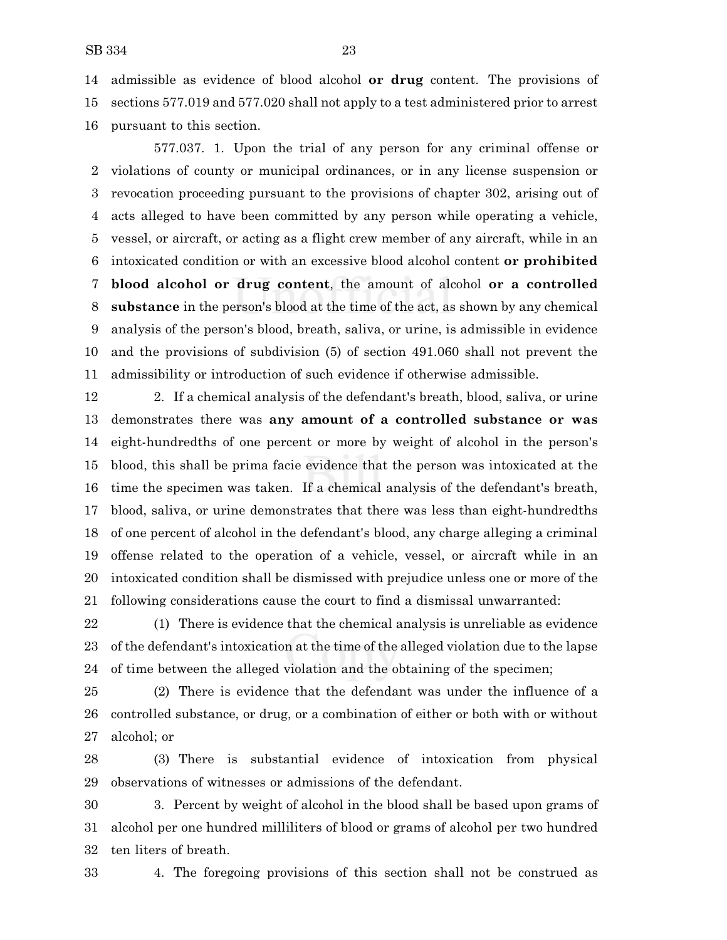admissible as evidence of blood alcohol **or drug** content. The provisions of sections 577.019 and 577.020 shall not apply to a test administered prior to arrest

pursuant to this section.

577.037. 1. Upon the trial of any person for any criminal offense or violations of county or municipal ordinances, or in any license suspension or revocation proceeding pursuant to the provisions of chapter 302, arising out of acts alleged to have been committed by any person while operating a vehicle, vessel, or aircraft, or acting as a flight crew member of any aircraft, while in an intoxicated condition or with an excessive blood alcohol content **or prohibited blood alcohol or drug content**, the amount of alcohol **or a controlled substance** in the person's blood at the time of the act, as shown by any chemical analysis of the person's blood, breath, saliva, or urine, is admissible in evidence and the provisions of subdivision (5) of section 491.060 shall not prevent the admissibility or introduction of such evidence if otherwise admissible.

 2. If a chemical analysis of the defendant's breath, blood, saliva, or urine demonstrates there was **any amount of a controlled substance or was** eight-hundredths of one percent or more by weight of alcohol in the person's blood, this shall be prima facie evidence that the person was intoxicated at the time the specimen was taken. If a chemical analysis of the defendant's breath, blood, saliva, or urine demonstrates that there was less than eight-hundredths of one percent of alcohol in the defendant's blood, any charge alleging a criminal offense related to the operation of a vehicle, vessel, or aircraft while in an intoxicated condition shall be dismissed with prejudice unless one or more of the following considerations cause the court to find a dismissal unwarranted:

 (1) There is evidence that the chemical analysis is unreliable as evidence of the defendant's intoxication at the time of the alleged violation due to the lapse of time between the alleged violation and the obtaining of the specimen;

 (2) There is evidence that the defendant was under the influence of a controlled substance, or drug, or a combination of either or both with or without alcohol; or

 (3) There is substantial evidence of intoxication from physical observations of witnesses or admissions of the defendant.

 3. Percent by weight of alcohol in the blood shall be based upon grams of alcohol per one hundred milliliters of blood or grams of alcohol per two hundred ten liters of breath.

4. The foregoing provisions of this section shall not be construed as